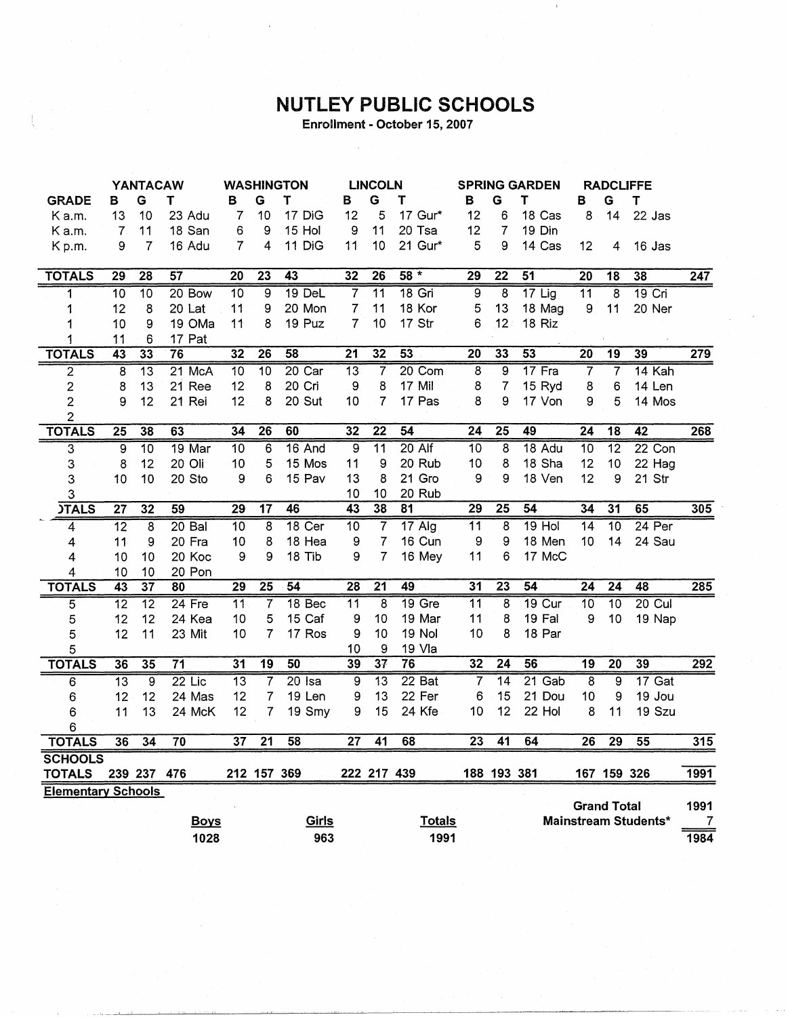## **NUTLEY PUBLIC SCHOOLS**

Enrollment - October 15, 2007

|                           | <b>YANTACAW</b> |                 | <b>WASHINGTON</b> |                 | <b>LINCOLN</b>  |                 | <b>SPRING GARDEN</b> |                         | <b>RADCLIFFE</b> |                 |                 |                 |                  |                    |                      |                  |
|---------------------------|-----------------|-----------------|-------------------|-----------------|-----------------|-----------------|----------------------|-------------------------|------------------|-----------------|-----------------|-----------------|------------------|--------------------|----------------------|------------------|
| <b>GRADE</b>              | в               | G               | т                 | в               | G               | т               | B                    | G                       | T                | в               | G               | Τ               | в                | G                  | T                    |                  |
| K a.m.                    | 13              | 10              | 23 Adu            | $\overline{7}$  | 10              | 17 DiG          | 12                   | 5                       | 17 Gur*          | 12              | 6               | 18 Cas          | 8                | 14                 | 22 Jas               |                  |
| K a.m.                    | $\mathbf{7}$    | 11              | 18 San            | 6               | 9               | 15 Hol          | 9                    | 11                      | 20 Tsa           | 12              | 7               | 19 Din          |                  |                    |                      |                  |
| Kp.m.                     | 9               | $\overline{7}$  | 16 Adu            | $\overline{7}$  | 4               | 11 DiG          | 11                   | 10                      | 21 Gur*          | 5               | 9               | 14 Cas          | 12               | 4                  | 16 Jas               |                  |
|                           |                 |                 |                   |                 |                 |                 |                      |                         |                  |                 |                 |                 |                  |                    |                      |                  |
| <b>TOTALS</b>             | $\overline{29}$ | 28              | $\overline{57}$   | 20              | $\overline{23}$ | $\overline{43}$ | 32                   | 26                      | $58 *$           | 29              | $\overline{22}$ | $\overline{51}$ | $\overline{20}$  | 18                 | 38                   | $\overline{247}$ |
| 1                         | $\overline{10}$ | 10              | $20$ Bow          | $\overline{10}$ | $\overline{9}$  | 19 DeL          | $\overline{7}$       | $\overline{11}$         | $18$ Gri         | $\overline{9}$  | 8               | $17$ Lig        | 11               | $\overline{8}$     | 19 Cri               |                  |
| 1                         | 12              | 8               | 20 Lat            | 11              | 9               | 20 Mon          | $\overline{7}$       | 11                      | 18 Kor           | 5               | 13              | 18 Mag          | $\boldsymbol{9}$ | 11                 | 20 Ner               |                  |
| 1                         | 10              | 9               | 19 OMa            | 11              | 8               | 19 Puz          | 7                    | 10                      | 17 Str           | 6               | 12              | 18 Riz          |                  |                    |                      |                  |
| 1                         | 11              | 6               | 17 Pat            |                 |                 |                 |                      |                         |                  |                 |                 |                 |                  |                    |                      |                  |
| <b>TOTALS</b>             | 43              | $\overline{33}$ | 76                | $\overline{32}$ | $\overline{26}$ | 58              | $\overline{21}$      | 32                      | 53               | $\overline{20}$ | 33              | 53              | $\overline{20}$  | $\overline{19}$    | 39                   | 279              |
| $\overline{\mathbf{c}}$   | $\overline{8}$  | $\overline{13}$ | $21$ McA          | 10              | $\overline{10}$ | $20$ Car        | $\overline{13}$      | 7                       | 20 Com           | $\overline{8}$  | $\overline{9}$  | 17 Fra          | 7                | $\overline{7}$     | 14 Kah               |                  |
| $\overline{\mathbf{c}}$   | 8               | 13              | 21 Ree            | 12              | 8               | 20 Cri          | 9                    | 8                       | 17 Mil           | 8               | $\overline{7}$  | 15 Ryd          | 8                | 6                  | 14 Len               |                  |
| $\overline{2}$            | 9               | 12              | 21 Rei            | 12              | 8               | 20 Sut          | 10                   | $\overline{7}$          | 17 Pas           | 8               | 9               | 17 Von          | 9                | 5                  | 14 Mos               |                  |
| $\overline{2}$            |                 |                 |                   |                 |                 |                 |                      |                         |                  |                 |                 |                 |                  |                    |                      |                  |
| <b>TOTALS</b>             | $\overline{25}$ | 38              | 63                | 34              | 26              | 60              | 32                   | $\overline{22}$         | 54               | $\overline{24}$ | $\overline{25}$ | 49              | $\overline{24}$  | $\overline{18}$    | 42                   | 268              |
| 3                         | ब्र             | $\overline{10}$ | 19 Mar            | $\overline{10}$ | 6               | 16 And          | 9                    | $\overline{11}$         | $20$ Alf         | $\overline{10}$ | $\overline{8}$  | 18 Adu          | 10               | $\overline{12}$    | $22$ Con             |                  |
| 3                         | 8               | 12              | 20 Oli            | 10              | 5               | 15 Mos          | 11                   | 9                       | 20 Rub           | 10              | 8               | 18 Sha          | 12               | 10                 | 22 Hag               |                  |
| 3                         | 10              | 10              | 20 Sto            | 9               | 6               | 15 Pav          | 13                   | 8                       | 21 Gro           | 9               | 9               | 18 Ven          | 12               | 9                  | 21 Str               |                  |
| 3                         |                 |                 |                   |                 |                 |                 | 10                   | 10                      | 20 Rub           |                 |                 |                 |                  |                    |                      |                  |
| <b>JTALS</b>              | $\overline{27}$ | 32              | 59                | 29              | $\overline{17}$ | 46              | $\overline{43}$      | 38                      | 81               | $\overline{29}$ | $\overline{25}$ | 54              | 34               | $\overline{31}$    | 65                   | 305              |
| 4                         | $\overline{12}$ | 8               | $20$ Bal          | $\overline{10}$ | 8               | 18 Cer          | $\overline{10}$      | $\overline{7}$          | $17$ Alg         | $\overline{11}$ | 8               | $19$ Hol        | $\overline{14}$  | 10                 | 24 Per               |                  |
| 4                         | 11              | 9               | 20 Fra            | 10              | 8               | 18 Hea          | 9                    | $\overline{7}$          | 16 Cun           | 9               | 9               | 18 Men          | 10               | 14                 | 24 Sau               |                  |
| 4                         | 10              | 10              | 20 Koc            | 9               | 9               | 18 Tib          | 9                    | $\overline{7}$          | 16 Mey           | 11              | 6               | 17 McC          |                  |                    |                      |                  |
| $\overline{4}$            | 10              | 10              | 20 Pon            |                 |                 |                 |                      |                         |                  |                 |                 |                 |                  |                    |                      |                  |
| <b>TOTALS</b>             | 43              | $\overline{37}$ | 80                | $\overline{29}$ | $\overline{25}$ | 54              | $\overline{28}$      | $\overline{21}$         | 49               | 31              | $\overline{23}$ | 54              | $\overline{24}$  | $\overline{24}$    | 48                   | 285              |
| $\overline{5}$            | $\overline{12}$ | $\overline{12}$ | 24 Fre            | $\overline{11}$ | 7               | 18 Bec          | $\overline{11}$      | $\overline{\mathbf{8}}$ | 19 Gre           | $\overline{11}$ | $\overline{8}$  | <b>19 Cur</b>   | $\overline{10}$  | 10                 | $20$ Cul             |                  |
| 5                         | 12              | 12              | 24 Kea            | 10              | 5               | 15 Caf          | 9                    | 10                      | 19 Mar           | 11              | 8               | 19 Fal          | 9                | 10                 | 19 Nap               |                  |
| 5                         | 12              | 11              | 23 Mit            | 10              | 7               | 17 Ros          | 9                    | 10                      | 19 Nol           | 10              | 8               | 18 Par          |                  |                    |                      |                  |
| 5                         |                 |                 |                   |                 |                 |                 | 10                   | 9                       | 19 Vla           |                 |                 |                 |                  |                    |                      |                  |
| <b>TOTALS</b>             | 36              | 35              | $\overline{71}$   | $\overline{31}$ | $\overline{19}$ | 50              | 39                   | 37                      | 76               | $\overline{32}$ | $\overline{24}$ | 56              | $\overline{19}$  | $\overline{20}$    | 39                   | 292              |
| 6                         | $\overline{13}$ | ब्र             | $22$ Lic          | $\overline{13}$ | $\overline{7}$  | $20$ Isa        | $\overline{9}$       | $\overline{13}$         | $22$ Bat         | $\overline{7}$  | $\overline{14}$ | 21 Gab          | $\overline{8}$   | $\overline{9}$     | $17$ Gat             |                  |
| 6                         | 12              | 12              | 24 Mas            | 12              | $\overline{7}$  | 19 Len          | 9                    | 13                      | 22 Fer           | 6               | 15              | 21 Dou          | 10               | 9                  | 19 Jou               |                  |
| 6                         | 11              | 13              | 24 McK            | 12              | 7               | 19 Smy          | 9                    | 15                      | 24 Kfe           | 10              | 12              | 22 Hol          | 8                | 11                 | 19 Szu               |                  |
| 6                         |                 |                 |                   |                 |                 |                 |                      |                         |                  |                 |                 |                 |                  |                    |                      |                  |
| <b>TOTALS</b>             | 36              | 34              | $\overline{70}$   | $\overline{37}$ | $\overline{21}$ | 58              | $\overline{27}$      | 41                      | 68               | $\overline{23}$ | $\overline{41}$ | 64              | 26               | $\overline{29}$    | 55                   | 315              |
| <b>SCHOOLS</b>            |                 |                 |                   |                 |                 |                 |                      |                         |                  |                 |                 |                 |                  |                    |                      |                  |
| <b>TOTALS</b>             |                 | 239 237 476     |                   |                 |                 | 212 157 369     |                      | 222 217 439             |                  |                 | 188 193 381     |                 |                  | 167 159 326        |                      | 1991             |
| <b>Elementary Schools</b> |                 |                 |                   |                 |                 |                 |                      |                         |                  |                 |                 |                 |                  |                    |                      |                  |
|                           |                 |                 |                   |                 |                 |                 |                      |                         |                  |                 |                 |                 |                  | <b>Grand Total</b> |                      | 1991             |
|                           |                 |                 | <b>Boys</b>       |                 |                 | Girls           |                      |                         | <b>Totals</b>    |                 |                 |                 |                  |                    | Mainstream Students* | 7                |
|                           |                 |                 | 1028              |                 |                 | 963             |                      |                         | 1991             |                 |                 |                 |                  |                    |                      | 1984             |